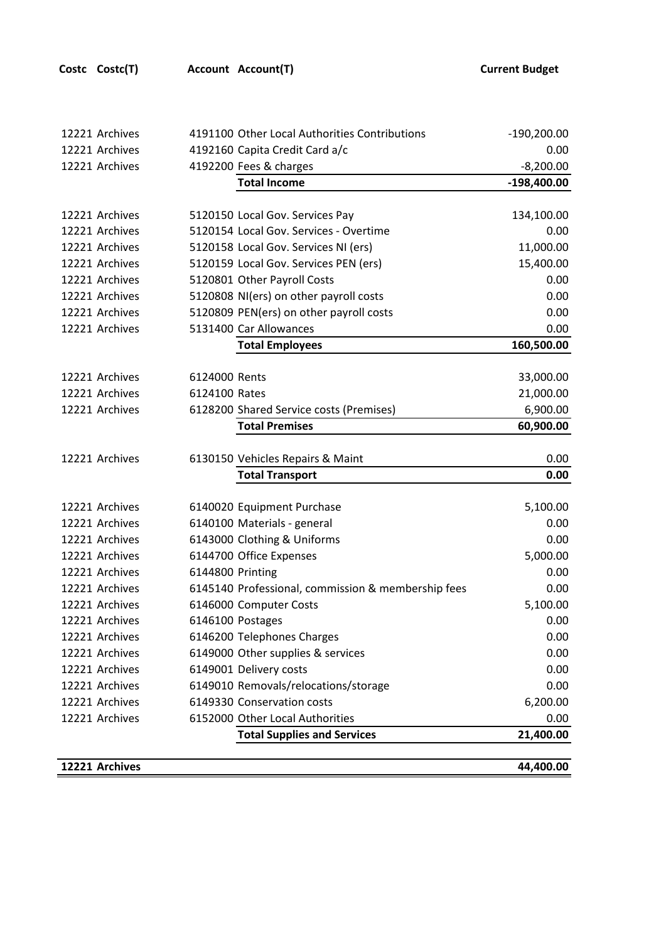| 12221 Archives                                     |               | 4191100 Other Local Authorities Contributions<br>$-190,200.00$ |               |  |
|----------------------------------------------------|---------------|----------------------------------------------------------------|---------------|--|
| 12221 Archives                                     |               | 4192160 Capita Credit Card a/c<br>0.00                         |               |  |
| 12221 Archives                                     |               | 4192200 Fees & charges<br>$-8,200.00$                          |               |  |
|                                                    |               | <b>Total Income</b>                                            | $-198,400.00$ |  |
|                                                    |               |                                                                |               |  |
| 12221 Archives                                     |               | 5120150 Local Gov. Services Pay                                | 134,100.00    |  |
| 12221 Archives                                     |               | 5120154 Local Gov. Services - Overtime                         | 0.00          |  |
| 12221 Archives                                     |               | 5120158 Local Gov. Services NI (ers)                           | 11,000.00     |  |
| 12221 Archives                                     |               | 5120159 Local Gov. Services PEN (ers)                          | 15,400.00     |  |
| 12221 Archives                                     |               | 5120801 Other Payroll Costs                                    |               |  |
| 12221 Archives                                     |               | 5120808 NI(ers) on other payroll costs                         |               |  |
| 12221 Archives                                     |               | 5120809 PEN(ers) on other payroll costs<br>0.00                |               |  |
| 12221 Archives                                     |               | 5131400 Car Allowances<br>0.00                                 |               |  |
|                                                    |               | <b>Total Employees</b>                                         | 160,500.00    |  |
|                                                    |               |                                                                |               |  |
| 12221 Archives                                     | 6124000 Rents |                                                                | 33,000.00     |  |
| 12221 Archives                                     | 6124100 Rates |                                                                | 21,000.00     |  |
| 12221 Archives                                     |               | 6,900.00<br>6128200 Shared Service costs (Premises)            |               |  |
|                                                    |               | <b>Total Premises</b>                                          | 60,900.00     |  |
|                                                    |               |                                                                |               |  |
| 6130150 Vehicles Repairs & Maint<br>12221 Archives |               |                                                                | 0.00<br>0.00  |  |
|                                                    |               | <b>Total Transport</b>                                         |               |  |
| 12221 Archives                                     |               | 6140020 Equipment Purchase                                     | 5,100.00      |  |
| 12221 Archives                                     |               | 6140100 Materials - general<br>0.00                            |               |  |
| 12221 Archives                                     |               | 6143000 Clothing & Uniforms<br>0.00                            |               |  |
| 12221 Archives                                     |               | 6144700 Office Expenses<br>5,000.00                            |               |  |
| 12221 Archives                                     |               | 6144800 Printing<br>0.00                                       |               |  |
| 12221 Archives                                     |               | 6145140 Professional, commission & membership fees             | 0.00          |  |
| 12221 Archives                                     |               | 6146000 Computer Costs                                         | 5,100.00      |  |
| 12221 Archives                                     |               | 6146100 Postages                                               | 0.00          |  |
| 12221 Archives                                     |               | 6146200 Telephones Charges<br>0.00                             |               |  |
| 12221 Archives                                     |               | 6149000 Other supplies & services                              |               |  |
| 12221 Archives                                     |               | 6149001 Delivery costs                                         | 0.00          |  |
| 12221 Archives                                     |               | 6149010 Removals/relocations/storage<br>0.00                   |               |  |
| 12221 Archives                                     |               | 6149330 Conservation costs<br>6,200.00                         |               |  |
| 12221 Archives                                     |               | 6152000 Other Local Authorities<br>0.00                        |               |  |
|                                                    |               | <b>Total Supplies and Services</b>                             | 21,400.00     |  |
|                                                    |               |                                                                |               |  |
| 12221 Archives                                     |               |                                                                | 44,400.00     |  |